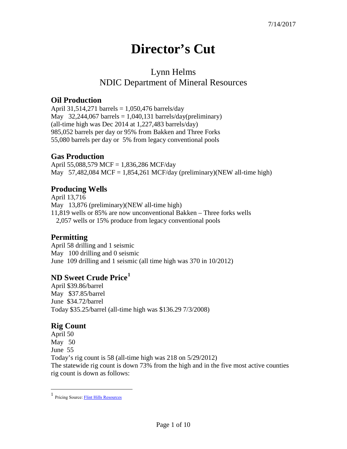# **Director's Cut**

## Lynn Helms NDIC Department of Mineral Resources

#### **Oil Production**

April 31,514,271 barrels =  $1,050,476$  barrels/day May 32,244,067 barrels =  $1,040,131$  barrels/day(preliminary) (all-time high was Dec 2014 at 1,227,483 barrels/day) 985,052 barrels per day or 95% from Bakken and Three Forks 55,080 barrels per day or 5% from legacy conventional pools

#### **Gas Production**

April 55,088,579 MCF = 1,836,286 MCF/day May  $57,482,084$  MCF = 1,854,261 MCF/day (preliminary)(NEW all-time high)

### **Producing Wells**

April 13,716 May 13,876 (preliminary)(NEW all-time high) 11,819 wells or 85% are now unconventional Bakken – Three forks wells 2,057 wells or 15% produce from legacy conventional pools

#### **Permitting**

April 58 drilling and 1 seismic May 100 drilling and 0 seismic June 109 drilling and 1 seismic (all time high was 370 in 10/2012)

#### **ND Sweet Crude Price[1](#page-0-0)**

April \$39.86/barrel May \$37.85/barrel June \$34.72/barrel Today \$35.25/barrel (all-time high was \$136.29 7/3/2008)

#### **Rig Count**

 $\overline{a}$ 

April 50 May 50 June 55 Today's rig count is 58 (all-time high was 218 on 5/29/2012) The statewide rig count is down 73% from the high and in the five most active counties rig count is down as follows:

<span id="page-0-0"></span><sup>1</sup> Pricing Source[: Flint Hills Resources](http://www.fhr.com/refining/bulletins.aspx?AspxAutoDetectCookieSupport=1)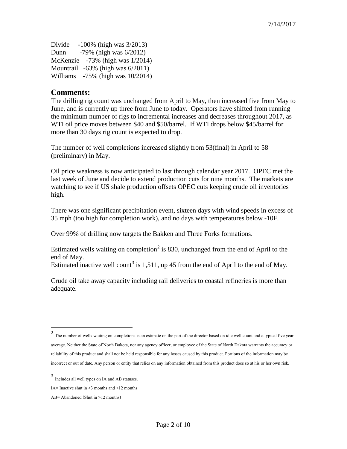Divide -100% (high was 3/2013) Dunn -79% (high was 6/2012) McKenzie -73% (high was 1/2014) Mountrail -63% (high was 6/2011) Williams -75% (high was 10/2014)

#### **Comments:**

The drilling rig count was unchanged from April to May, then increased five from May to June, and is currently up three from June to today. Operators have shifted from running the minimum number of rigs to incremental increases and decreases throughout 2017, as WTI oil price moves between \$40 and \$50/barrel. If WTI drops below \$45/barrel for more than 30 days rig count is expected to drop.

The number of well completions increased slightly from 53(final) in April to 58 (preliminary) in May.

Oil price weakness is now anticipated to last through calendar year 2017. OPEC met the last week of June and decide to extend production cuts for nine months. The markets are watching to see if US shale production offsets OPEC cuts keeping crude oil inventories high.

There was one significant precipitation event, sixteen days with wind speeds in excess of 35 mph (too high for completion work), and no days with temperatures below -10F.

Over 99% of drilling now targets the Bakken and Three Forks formations.

Estimated wells waiting on completion<sup>[2](#page-1-0)</sup> is 830, unchanged from the end of April to the end of May.

Estimated inactive well count<sup>[3](#page-1-1)</sup> is 1,511, up 45 from the end of April to the end of May.

Crude oil take away capacity including rail deliveries to coastal refineries is more than adequate.

 $\overline{a}$ 

<span id="page-1-0"></span> $2$  The number of wells waiting on completions is an estimate on the part of the director based on idle well count and a typical five year average. Neither the State of North Dakota, nor any agency officer, or employee of the State of North Dakota warrants the accuracy or reliability of this product and shall not be held responsible for any losses caused by this product. Portions of the information may be incorrect or out of date. Any person or entity that relies on any information obtained from this product does so at his or her own risk.

<span id="page-1-1"></span><sup>3</sup> Includes all well types on IA and AB statuses.

IA= Inactive shut in  $\geq$ 3 months and  $\leq$ 12 months

AB= Abandoned (Shut in >12 months)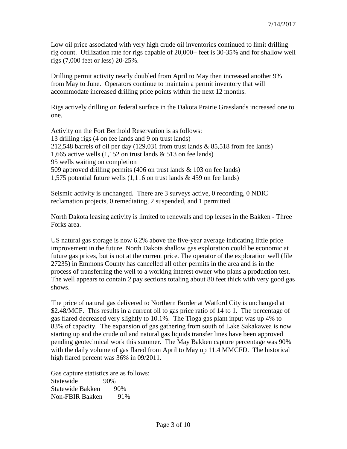Low oil price associated with very high crude oil inventories continued to limit drilling rig count. Utilization rate for rigs capable of 20,000+ feet is 30-35% and for shallow well rigs (7,000 feet or less) 20-25%.

Drilling permit activity nearly doubled from April to May then increased another 9% from May to June. Operators continue to maintain a permit inventory that will accommodate increased drilling price points within the next 12 months.

Rigs actively drilling on federal surface in the Dakota Prairie Grasslands increased one to one.

Activity on the Fort Berthold Reservation is as follows: 13 drilling rigs (4 on fee lands and 9 on trust lands) 212,548 barrels of oil per day (129,031 from trust lands & 85,518 from fee lands) 1,665 active wells  $(1,152 \text{ on trust lands } \& 513 \text{ on fee lands})$ 95 wells waiting on completion 509 approved drilling permits (406 on trust lands & 103 on fee lands) 1,575 potential future wells (1,116 on trust lands & 459 on fee lands)

Seismic activity is unchanged. There are 3 surveys active, 0 recording, 0 NDIC reclamation projects, 0 remediating, 2 suspended, and 1 permitted.

North Dakota leasing activity is limited to renewals and top leases in the Bakken - Three Forks area.

US natural gas storage is now 6.2% above the five-year average indicating little price improvement in the future. North Dakota shallow gas exploration could be economic at future gas prices, but is not at the current price. The operator of the exploration well (file 27235) in Emmons County has cancelled all other permits in the area and is in the process of transferring the well to a working interest owner who plans a production test. The well appears to contain 2 pay sections totaling about 80 feet thick with very good gas shows.

The price of natural gas delivered to Northern Border at Watford City is unchanged at \$2.48/MCF. This results in a current oil to gas price ratio of 14 to 1. The percentage of gas flared decreased very slightly to 10.1%. The Tioga gas plant input was up 4% to 83% of capacity. The expansion of gas gathering from south of Lake Sakakawea is now starting up and the crude oil and natural gas liquids transfer lines have been approved pending geotechnical work this summer. The May Bakken capture percentage was 90% with the daily volume of gas flared from April to May up 11.4 MMCFD. The historical high flared percent was 36% in 09/2011.

Gas capture statistics are as follows: Statewide 90% Statewide Bakken 90% Non-FBIR Bakken 91%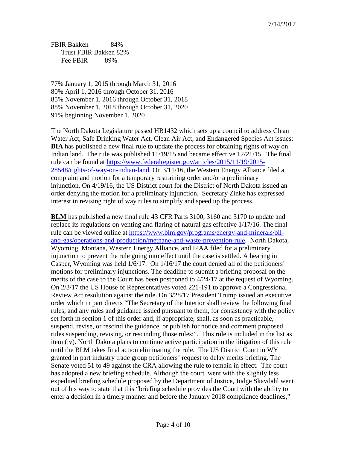FBIR Bakken 84% Trust FBIR Bakken 82% Fee FBIR 89%

77% January 1, 2015 through March 31, 2016 80% April 1, 2016 through October 31, 2016 85% November 1, 2016 through October 31, 2018 88% November 1, 2018 through October 31, 2020 91% beginning November 1, 2020

The North Dakota Legislature passed HB1432 which sets up a council to address Clean Water Act, Safe Drinking Water Act, Clean Air Act, and Endangered Species Act issues: **BIA** has published a new final rule to update the process for obtaining rights of way on Indian land. The rule was published 11/19/15 and became effective 12/21/15. The final rule can be found at [https://www.federalregister.gov/articles/2015/11/19/2015-](https://www.federalregister.gov/articles/2015/11/19/2015-28548/rights-of-way-on-indian-land) [28548/rights-of-way-on-indian-land.](https://www.federalregister.gov/articles/2015/11/19/2015-28548/rights-of-way-on-indian-land) On 3/11/16, the Western Energy Alliance filed a complaint and motion for a temporary restraining order and/or a preliminary injunction. On 4/19/16, the US District court for the District of North Dakota issued an order denying the motion for a preliminary injunction. Secretary Zinke has expressed interest in revising right of way rules to simplify and speed up the process.

**BLM** has published a new final rule 43 CFR Parts 3100, 3160 and 3170 to update and replace its regulations on venting and flaring of natural gas effective 1/17/16. The final rule can be viewed online at [https://www.blm.gov/programs/energy-and-minerals/oil](https://www.blm.gov/programs/energy-and-minerals/oil-and-gas/operations-and-production/methane-and-waste-prevention-rule)[and-gas/operations-and-production/methane-and-waste-prevention-rule.](https://www.blm.gov/programs/energy-and-minerals/oil-and-gas/operations-and-production/methane-and-waste-prevention-rule) North Dakota, Wyoming, Montana, Western Energy Alliance, and IPAA filed for a preliminary injunction to prevent the rule going into effect until the case is settled. A hearing in Casper, Wyoming was held 1/6/17. On 1/16/17 the court denied all of the petitioners' motions for preliminary injunctions. The deadline to submit a briefing proposal on the merits of the case to the Court has been postponed to 4/24/17 at the request of Wyoming. On 2/3/17 the US House of Representatives voted 221-191 to approve a Congressional Review Act resolution against the rule. On 3/28/17 President Trump issued an executive order which in part directs "The Secretary of the Interior shall review the following final rules, and any rules and guidance issued pursuant to them, for consistency with the policy set forth in section 1 of this order and, if appropriate, shall, as soon as practicable, suspend, revise, or rescind the guidance, or publish for notice and comment proposed rules suspending, revising, or rescinding those rules:". This rule is included in the list as item (iv). North Dakota plans to continue active participation in the litigation of this rule until the BLM takes final action eliminating the rule. The US District Court in WY granted in part industry trade group petitioners' request to delay merits briefing. The Senate voted 51 to 49 against the CRA allowing the rule to remain in effect. The court has adopted a new briefing schedule. Although the court went with the slightly less expedited briefing schedule proposed by the Department of Justice, Judge Skavdahl went out of his way to state that this "briefing schedule provides the Court with the ability to enter a decision in a timely manner and before the January 2018 compliance deadlines,"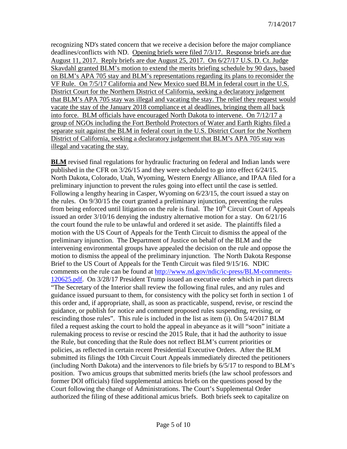recognizing ND's stated concern that we receive a decision before the major compliance deadlines/conflicts with ND. Opening briefs were filed 7/3/17. Response briefs are due August 11, 2017. Reply briefs are due August 25, 2017. On 6/27/17 U.S. D. Ct. Judge Skavdahl granted BLM's motion to extend the merits briefing schedule by 90 days, based on BLM's APA 705 stay and BLM's representations regarding its plans to reconsider the VF Rule. On 7/5/17 California and New Mexico sued BLM in federal court in the U.S. District Court for the Northern District of California, seeking a declaratory judgement that BLM's APA 705 stay was illegal and vacating the stay. The relief they request would vacate the stay of the January 2018 compliance et al deadlines, bringing them all back into force. BLM officials have encouraged North Dakota to intervene. On 7/12/17 a group of NGOs including the Fort Berthold Protectors of Water and Earth Rights filed a separate suit against the BLM in federal court in the U.S. District Court for the Northern District of California, seeking a declaratory judgement that BLM's APA 705 stay was illegal and vacating the stay.

**BLM** revised final regulations for hydraulic fracturing on federal and Indian lands were published in the CFR on 3/26/15 and they were scheduled to go into effect 6/24/15. North Dakota, Colorado, Utah, Wyoming, Western Energy Alliance, and IPAA filed for a preliminary injunction to prevent the rules going into effect until the case is settled. Following a lengthy hearing in Casper, Wyoming on 6/23/15, the court issued a stay on the rules. On 9/30/15 the court granted a preliminary injunction, preventing the rules from being enforced until litigation on the rule is final. The  $10<sup>th</sup>$  Circuit Court of Appeals issued an order 3/10/16 denying the industry alternative motion for a stay. On 6/21/16 the court found the rule to be unlawful and ordered it set aside. The plaintiffs filed a motion with the US Court of Appeals for the Tenth Circuit to dismiss the appeal of the preliminary injunction. The Department of Justice on behalf of the BLM and the intervening environmental groups have appealed the decision on the rule and oppose the motion to dismiss the appeal of the preliminary injunction. The North Dakota Response Brief to the US Court of Appeals for the Tenth Circuit was filed 9/15/16. NDIC comments on the rule can be found at [http://www.nd.gov/ndic/ic-press/BLM-comments-](http://www.nd.gov/ndic/ic-press/BLM-comments-120625.pdf)[120625.pdf.](http://www.nd.gov/ndic/ic-press/BLM-comments-120625.pdf) On 3/28/17 President Trump issued an executive order which in part directs "The Secretary of the Interior shall review the following final rules, and any rules and guidance issued pursuant to them, for consistency with the policy set forth in section 1 of this order and, if appropriate, shall, as soon as practicable, suspend, revise, or rescind the guidance, or publish for notice and comment proposed rules suspending, revising, or rescinding those rules". This rule is included in the list as item (i). On 5/4/2017 BLM filed a request asking the court to hold the appeal in abeyance as it will "soon" initiate a rulemaking process to revise or rescind the 2015 Rule, that it had the authority to issue the Rule, but conceding that the Rule does not reflect BLM's current priorities or policies, as reflected in certain recent Presidential Executive Orders. After the BLM submitted its filings the 10th Circuit Court Appeals immediately directed the petitioners (including North Dakota) and the intervenors to file briefs by 6/5/17 to respond to BLM's position. Two amicus groups that submitted merits briefs (the law school professors and former DOI officials) filed supplemental amicus briefs on the questions posed by the Court following the change of Administrations. The Court's Supplemental Order authorized the filing of these additional amicus briefs. Both briefs seek to capitalize on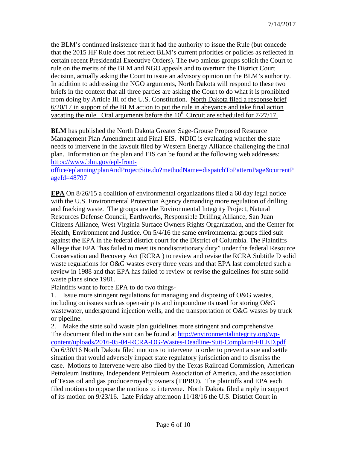the BLM's continued insistence that it had the authority to issue the Rule (but concede that the 2015 HF Rule does not reflect BLM's current priorities or policies as reflected in certain recent Presidential Executive Orders). The two amicus groups solicit the Court to rule on the merits of the BLM and NGO appeals and to overturn the District Court decision, actually asking the Court to issue an advisory opinion on the BLM's authority. In addition to addressing the NGO arguments, North Dakota will respond to these two briefs in the context that all three parties are asking the Court to do what it is prohibited from doing by Article III of the U.S. Constitution. North Dakota filed a response brief 6/20/17 in support of the BLM action to put the rule in abeyance and take final action vacating the rule. Oral arguments before the  $10^{th}$  Circuit are scheduled for  $7/27/17$ .

**BLM** has published the North Dakota Greater Sage-Grouse Proposed Resource Management Plan Amendment and Final EIS. NDIC is evaluating whether the state needs to intervene in the lawsuit filed by Western Energy Alliance challenging the final plan. Information on the plan and EIS can be found at the following web addresses: [https://www.blm.gov/epl-front-](https://www.blm.gov/epl-front-office/eplanning/planAndProjectSite.do?methodName=dispatchToPatternPage¤tPageId=48797)

[office/eplanning/planAndProjectSite.do?methodName=dispatchToPatternPage&currentP](https://www.blm.gov/epl-front-office/eplanning/planAndProjectSite.do?methodName=dispatchToPatternPage¤tPageId=48797) [ageId=48797](https://www.blm.gov/epl-front-office/eplanning/planAndProjectSite.do?methodName=dispatchToPatternPage¤tPageId=48797)

**EPA** On 8/26/15 a coalition of environmental organizations filed a 60 day legal notice with the U.S. Environmental Protection Agency demanding more regulation of drilling and fracking waste. The groups are the Environmental Integrity Project, Natural Resources Defense Council, Earthworks, Responsible Drilling Alliance, San Juan Citizens Alliance, West Virginia Surface Owners Rights Organization, and the Center for Health, Environment and Justice. On 5/4/16 the same environmental groups filed suit against the EPA in the federal district court for the District of Columbia. The Plaintiffs Allege that EPA "has failed to meet its nondiscretionary duty" under the federal Resource Conservation and Recovery Act (RCRA ) to review and revise the RCRA Subtitle D solid waste regulations for O&G wastes every three years and that EPA last completed such a review in 1988 and that EPA has failed to review or revise the guidelines for state solid waste plans since 1981.

Plaintiffs want to force EPA to do two things-

1. Issue more stringent regulations for managing and disposing of O&G wastes, including on issues such as open-air pits and impoundments used for storing O&G wastewater, underground injection wells, and the transportation of O&G wastes by truck or pipeline.

2. Make the state solid waste plan guidelines more stringent and comprehensive. The document filed in the suit can be found at [http://environmentalintegrity.org/wp](http://environmentalintegrity.org/wp-content/uploads/2016-05-04-RCRA-OG-Wastes-Deadline-Suit-Complaint-FILED.pdf)[content/uploads/2016-05-04-RCRA-OG-Wastes-Deadline-Suit-Complaint-FILED.pdf](http://environmentalintegrity.org/wp-content/uploads/2016-05-04-RCRA-OG-Wastes-Deadline-Suit-Complaint-FILED.pdf) On 6/30/16 North Dakota filed motions to intervene in order to prevent a sue and settle situation that would adversely impact state regulatory jurisdiction and to dismiss the case. Motions to Intervene were also filed by the Texas Railroad Commission, American Petroleum Institute, Independent Petroleum Association of America, and the association of Texas oil and gas producer/royalty owners (TIPRO). The plaintiffs and EPA each filed motions to oppose the motions to intervene. North Dakota filed a reply in support of its motion on 9/23/16. Late Friday afternoon 11/18/16 the U.S. District Court in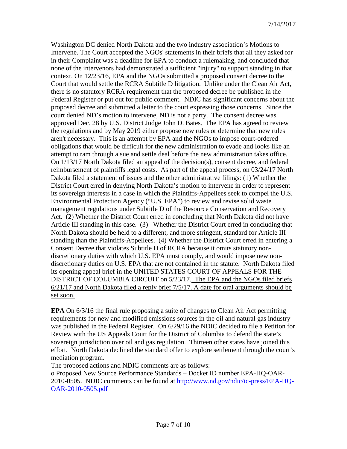Washington DC denied North Dakota and the two industry association's Motions to Intervene. The Court accepted the NGOs' statements in their briefs that all they asked for in their Complaint was a deadline for EPA to conduct a rulemaking, and concluded that none of the intervenors had demonstrated a sufficient "injury" to support standing in that context. On 12/23/16, EPA and the NGOs submitted a proposed consent decree to the Court that would settle the RCRA Subtitle D litigation. Unlike under the Clean Air Act, there is no statutory RCRA requirement that the proposed decree be published in the Federal Register or put out for public comment. NDIC has significant concerns about the proposed decree and submitted a letter to the court expressing those concerns. Since the court denied ND's motion to intervene, ND is not a party. The consent decree was approved Dec. 28 by U.S. District Judge John D. Bates. The EPA has agreed to review the regulations and by May 2019 either propose new rules or determine that new rules aren't necessary. This is an attempt by EPA and the NGOs to impose court-ordered obligations that would be difficult for the new administration to evade and looks like an attempt to ram through a sue and settle deal before the new administration takes office. On 1/13/17 North Dakota filed an appeal of the decision(s), consent decree, and federal reimbursement of plaintiffs legal costs. As part of the appeal process, on 03/24/17 North Dakota filed a statement of issues and the other administrative filings: (1) Whether the District Court erred in denying North Dakota's motion to intervene in order to represent its sovereign interests in a case in which the Plaintiffs-Appellees seek to compel the U.S. Environmental Protection Agency ("U.S. EPA") to review and revise solid waste management regulations under Subtitle D of the Resource Conservation and Recovery Act. (2) Whether the District Court erred in concluding that North Dakota did not have Article III standing in this case. (3) Whether the District Court erred in concluding that North Dakota should be held to a different, and more stringent, standard for Article III standing than the Plaintiffs-Appellees. (4) Whether the District Court erred in entering a Consent Decree that violates Subtitle D of RCRA because it omits statutory nondiscretionary duties with which U.S. EPA must comply, and would impose new nondiscretionary duties on U.S. EPA that are not contained in the statute. North Dakota filed its opening appeal brief in the UNITED STATES COURT OF APPEALS FOR THE DISTRICT OF COLUMBIA CIRCUIT on 5/23/17. The EPA and the NGOs filed briefs 6/21/17 and North Dakota filed a reply brief 7/5/17. A date for oral arguments should be set soon.

**EPA** On 6/3/16 the final rule proposing a suite of changes to Clean Air Act permitting requirements for new and modified emissions sources in the oil and natural gas industry was published in the Federal Register. On 6/29/16 the NDIC decided to file a Petition for Review with the US Appeals Court for the District of Columbia to defend the state's sovereign jurisdiction over oil and gas regulation. Thirteen other states have joined this effort. North Dakota declined the standard offer to explore settlement through the court's mediation program.

The proposed actions and NDIC comments are as follows:

o Proposed New Source Performance Standards – Docket ID number EPA-HQ-OAR-2010-0505. NDIC comments can be found at [http://www.nd.gov/ndic/ic-press/EPA-HQ-](http://www.nd.gov/ndic/ic-press/EPA-HQ-OAR-2010-0505.pdf)[OAR-2010-0505.pdf](http://www.nd.gov/ndic/ic-press/EPA-HQ-OAR-2010-0505.pdf)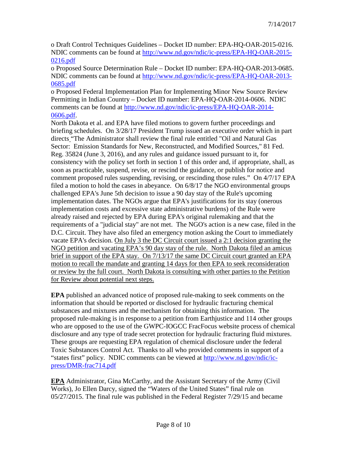o Draft Control Techniques Guidelines – Docket ID number: EPA-HQ-OAR-2015-0216. NDIC comments can be found at [http://www.nd.gov/ndic/ic-press/EPA-HQ-OAR-2015-](http://www.nd.gov/ndic/ic-press/EPA-HQ-OAR-2015-0216.pdf) [0216.pdf](http://www.nd.gov/ndic/ic-press/EPA-HQ-OAR-2015-0216.pdf)

o Proposed Source Determination Rule – Docket ID number: EPA-HQ-OAR-2013-0685. NDIC comments can be found at [http://www.nd.gov/ndic/ic-press/EPA-HQ-OAR-2013-](http://www.nd.gov/ndic/ic-press/EPA-HQ-OAR-2013-0685.pdf) [0685.pdf](http://www.nd.gov/ndic/ic-press/EPA-HQ-OAR-2013-0685.pdf)

o Proposed Federal Implementation Plan for Implementing Minor New Source Review Permitting in Indian Country – Docket ID number: EPA-HQ-OAR-2014-0606. NDIC comments can be found at [http://www.nd.gov/ndic/ic-press/EPA-HQ-OAR-2014-](http://www.nd.gov/ndic/ic-press/EPA-HQ-OAR-2014-0606.pdf) [0606.pdf.](http://www.nd.gov/ndic/ic-press/EPA-HQ-OAR-2014-0606.pdf)

North Dakota et al. and EPA have filed motions to govern further proceedings and briefing schedules. On 3/28/17 President Trump issued an executive order which in part directs "The Administrator shall review the final rule entitled "Oil and Natural Gas Sector: Emission Standards for New, Reconstructed, and Modified Sources," 81 Fed. Reg. 35824 (June 3, 2016), and any rules and guidance issued pursuant to it, for consistency with the policy set forth in section 1 of this order and, if appropriate, shall, as soon as practicable, suspend, revise, or rescind the guidance, or publish for notice and comment proposed rules suspending, revising, or rescinding those rules." On 4/7/17 EPA filed a motion to hold the cases in abeyance. On 6/8/17 the NGO environmental groups challenged EPA's June 5th decision to issue a 90 day stay of the Rule's upcoming implementation dates. The NGOs argue that EPA's justifications for its stay (onerous implementation costs and excessive state administrative burdens) of the Rule were already raised and rejected by EPA during EPA's original rulemaking and that the requirements of a "judicial stay" are not met. The NGO's action is a new case, filed in the D.C. Circuit. They have also filed an emergency motion asking the Court to immediately vacate EPA's decision. On July 3 the DC Circuit court issued a 2:1 decision granting the NGO petition and vacating EPA's 90 day stay of the rule. North Dakota filed an amicus brief in support of the EPA stay. On 7/13/17 the same DC Circuit court granted an EPA motion to recall the mandate and granting 14 days for then EPA to seek reconsideration or review by the full court. North Dakota is consulting with other parties to the Petition for Review about potential next steps.

**EPA** published an advanced notice of proposed rule-making to seek comments on the information that should be reported or disclosed for hydraulic fracturing chemical substances and mixtures and the mechanism for obtaining this information. The proposed rule-making is in response to a petition from Earthjustice and 114 other groups who are opposed to the use of the GWPC-IOGCC FracFocus website process of chemical disclosure and any type of trade secret protection for hydraulic fracturing fluid mixtures. These groups are requesting EPA regulation of chemical disclosure under the federal Toxic Substances Control Act. Thanks to all who provided comments in support of a "states first" policy. NDIC comments can be viewed at [http://www.nd.gov/ndic/ic](http://www.nd.gov/ndic/ic-press/DMR-frac714.pdf)[press/DMR-frac714.pdf](http://www.nd.gov/ndic/ic-press/DMR-frac714.pdf)

**EPA** Administrator, Gina McCarthy, and the Assistant Secretary of the Army (Civil Works), Jo Ellen Darcy, signed the "Waters of the United States" final rule on 05/27/2015. The final rule was published in the Federal Register 7/29/15 and became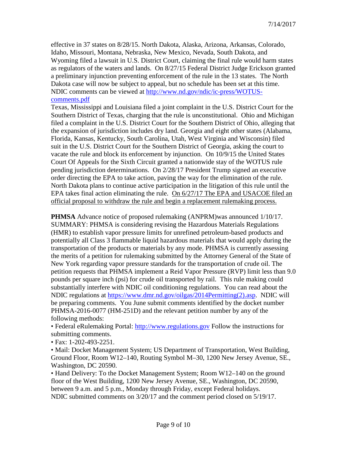effective in 37 states on 8/28/15. North Dakota, Alaska, Arizona, Arkansas, Colorado, Idaho, Missouri, Montana, Nebraska, New Mexico, Nevada, South Dakota, and Wyoming filed a lawsuit in U.S. District Court, claiming the final rule would harm states as regulators of the waters and lands. On 8/27/15 Federal District Judge Erickson granted a preliminary injunction preventing enforcement of the rule in the 13 states. The North Dakota case will now be subject to appeal, but no schedule has been set at this time. NDIC comments can be viewed at [http://www.nd.gov/ndic/ic-press/WOTUS](http://www.nd.gov/ndic/ic-press/WOTUS-comments.pdf)[comments.pdf](http://www.nd.gov/ndic/ic-press/WOTUS-comments.pdf)

Texas, Mississippi and Louisiana filed a joint complaint in the U.S. District Court for the Southern District of Texas, charging that the rule is unconstitutional. Ohio and Michigan filed a complaint in the U.S. District Court for the Southern District of Ohio, alleging that the expansion of jurisdiction includes dry land. Georgia and eight other states (Alabama, Florida, Kansas, Kentucky, South Carolina, Utah, West Virginia and Wisconsin) filed suit in the U.S. District Court for the Southern District of Georgia, asking the court to vacate the rule and block its enforcement by injunction. On 10/9/15 the United States Court Of Appeals for the Sixth Circuit granted a nationwide stay of the WOTUS rule pending jurisdiction determinations. On 2/28/17 President Trump signed an executive order directing the EPA to take action, paving the way for the elimination of the rule. North Dakota plans to continue active participation in the litigation of this rule until the EPA takes final action eliminating the rule. On 6/27/17 The EPA and USACOE filed an official proposal to withdraw the rule and begin a replacement rulemaking process.

**PHMSA** Advance notice of proposed rulemaking (ANPRM)was announced 1/10/17. SUMMARY: PHMSA is considering revising the Hazardous Materials Regulations (HMR) to establish vapor pressure limits for unrefined petroleum-based products and potentially all Class 3 flammable liquid hazardous materials that would apply during the transportation of the products or materials by any mode. PHMSA is currently assessing the merits of a petition for rulemaking submitted by the Attorney General of the State of New York regarding vapor pressure standards for the transportation of crude oil. The petition requests that PHMSA implement a Reid Vapor Pressure (RVP) limit less than 9.0 pounds per square inch (psi) for crude oil transported by rail. This rule making could substantially interfere with NDIC oil conditioning regulations. You can read about the NDIC regulations at [https://www.dmr.nd.gov/oilgas/2014Permitting\(2\).asp.](https://www.dmr.nd.gov/oilgas/2014Permitting(2).asp) NDIC will be preparing comments. You June submit comments identified by the docket number PHMSA-2016-0077 (HM-251D) and the relevant petition number by any of the following methods:

• Federal eRulemaking Portal: [http://www.regulations.gov](http://www.regulations.gov/) Follow the instructions for submitting comments.

• Fax: 1-202-493-2251.

• Mail: Docket Management System; US Department of Transportation, West Building, Ground Floor, Room W12–140, Routing Symbol M–30, 1200 New Jersey Avenue, SE., Washington, DC 20590.

• Hand Delivery: To the Docket Management System; Room W12–140 on the ground floor of the West Building, 1200 New Jersey Avenue, SE., Washington, DC 20590, between 9 a.m. and 5 p.m., Monday through Friday, except Federal holidays. NDIC submitted comments on 3/20/17 and the comment period closed on 5/19/17.